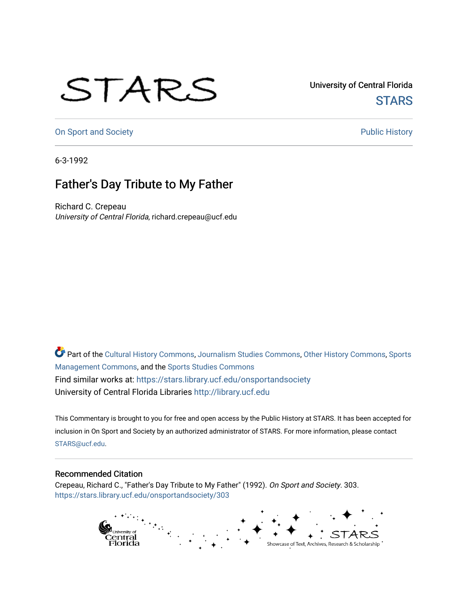## STARS

University of Central Florida **STARS** 

[On Sport and Society](https://stars.library.ucf.edu/onsportandsociety) **Public History** Public History

6-3-1992

## Father's Day Tribute to My Father

Richard C. Crepeau University of Central Florida, richard.crepeau@ucf.edu

Part of the [Cultural History Commons](http://network.bepress.com/hgg/discipline/496?utm_source=stars.library.ucf.edu%2Fonsportandsociety%2F303&utm_medium=PDF&utm_campaign=PDFCoverPages), [Journalism Studies Commons,](http://network.bepress.com/hgg/discipline/333?utm_source=stars.library.ucf.edu%2Fonsportandsociety%2F303&utm_medium=PDF&utm_campaign=PDFCoverPages) [Other History Commons,](http://network.bepress.com/hgg/discipline/508?utm_source=stars.library.ucf.edu%2Fonsportandsociety%2F303&utm_medium=PDF&utm_campaign=PDFCoverPages) [Sports](http://network.bepress.com/hgg/discipline/1193?utm_source=stars.library.ucf.edu%2Fonsportandsociety%2F303&utm_medium=PDF&utm_campaign=PDFCoverPages) [Management Commons](http://network.bepress.com/hgg/discipline/1193?utm_source=stars.library.ucf.edu%2Fonsportandsociety%2F303&utm_medium=PDF&utm_campaign=PDFCoverPages), and the [Sports Studies Commons](http://network.bepress.com/hgg/discipline/1198?utm_source=stars.library.ucf.edu%2Fonsportandsociety%2F303&utm_medium=PDF&utm_campaign=PDFCoverPages) Find similar works at: <https://stars.library.ucf.edu/onsportandsociety> University of Central Florida Libraries [http://library.ucf.edu](http://library.ucf.edu/) 

This Commentary is brought to you for free and open access by the Public History at STARS. It has been accepted for inclusion in On Sport and Society by an authorized administrator of STARS. For more information, please contact [STARS@ucf.edu](mailto:STARS@ucf.edu).

## Recommended Citation

Crepeau, Richard C., "Father's Day Tribute to My Father" (1992). On Sport and Society. 303. [https://stars.library.ucf.edu/onsportandsociety/303](https://stars.library.ucf.edu/onsportandsociety/303?utm_source=stars.library.ucf.edu%2Fonsportandsociety%2F303&utm_medium=PDF&utm_campaign=PDFCoverPages)

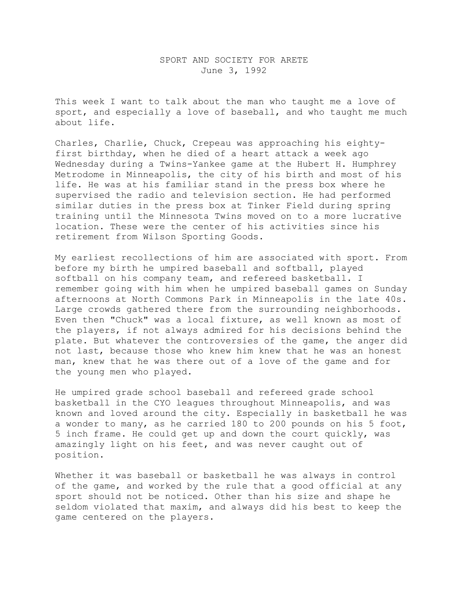## SPORT AND SOCIETY FOR ARETE June 3, 1992

This week I want to talk about the man who taught me a love of sport, and especially a love of baseball, and who taught me much about life.

Charles, Charlie, Chuck, Crepeau was approaching his eightyfirst birthday, when he died of a heart attack a week ago Wednesday during a Twins-Yankee game at the Hubert H. Humphrey Metrodome in Minneapolis, the city of his birth and most of his life. He was at his familiar stand in the press box where he supervised the radio and television section. He had performed similar duties in the press box at Tinker Field during spring training until the Minnesota Twins moved on to a more lucrative location. These were the center of his activities since his retirement from Wilson Sporting Goods.

My earliest recollections of him are associated with sport. From before my birth he umpired baseball and softball, played softball on his company team, and refereed basketball. I remember going with him when he umpired baseball games on Sunday afternoons at North Commons Park in Minneapolis in the late 40s. Large crowds gathered there from the surrounding neighborhoods. Even then "Chuck" was a local fixture, as well known as most of the players, if not always admired for his decisions behind the plate. But whatever the controversies of the game, the anger did not last, because those who knew him knew that he was an honest man, knew that he was there out of a love of the game and for the young men who played.

He umpired grade school baseball and refereed grade school basketball in the CYO leagues throughout Minneapolis, and was known and loved around the city. Especially in basketball he was a wonder to many, as he carried 180 to 200 pounds on his 5 foot, 5 inch frame. He could get up and down the court quickly, was amazingly light on his feet, and was never caught out of position.

Whether it was baseball or basketball he was always in control of the game, and worked by the rule that a good official at any sport should not be noticed. Other than his size and shape he seldom violated that maxim, and always did his best to keep the game centered on the players.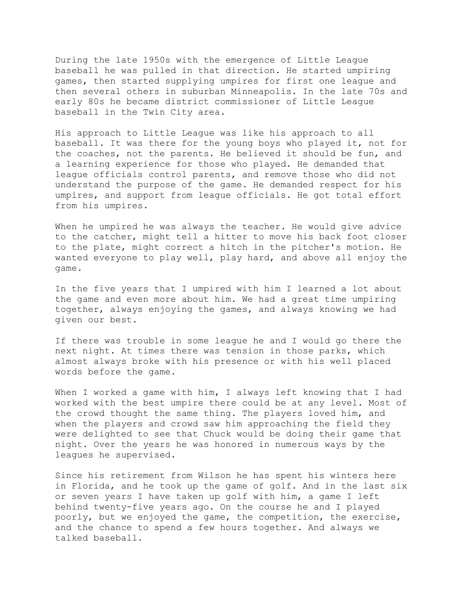During the late 1950s with the emergence of Little League baseball he was pulled in that direction. He started umpiring games, then started supplying umpires for first one league and then several others in suburban Minneapolis. In the late 70s and early 80s he became district commissioner of Little League baseball in the Twin City area.

His approach to Little League was like his approach to all baseball. It was there for the young boys who played it, not for the coaches, not the parents. He believed it should be fun, and a learning experience for those who played. He demanded that league officials control parents, and remove those who did not understand the purpose of the game. He demanded respect for his umpires, and support from league officials. He got total effort from his umpires.

When he umpired he was always the teacher. He would give advice to the catcher, might tell a hitter to move his back foot closer to the plate, might correct a hitch in the pitcher's motion. He wanted everyone to play well, play hard, and above all enjoy the game.

In the five years that I umpired with him I learned a lot about the game and even more about him. We had a great time umpiring together, always enjoying the games, and always knowing we had given our best.

If there was trouble in some league he and I would go there the next night. At times there was tension in those parks, which almost always broke with his presence or with his well placed words before the game.

When I worked a game with him, I always left knowing that I had worked with the best umpire there could be at any level. Most of the crowd thought the same thing. The players loved him, and when the players and crowd saw him approaching the field they were delighted to see that Chuck would be doing their game that night. Over the years he was honored in numerous ways by the leagues he supervised.

Since his retirement from Wilson he has spent his winters here in Florida, and he took up the game of golf. And in the last six or seven years I have taken up golf with him, a game I left behind twenty-five years ago. On the course he and I played poorly, but we enjoyed the game, the competition, the exercise, and the chance to spend a few hours together. And always we talked baseball.